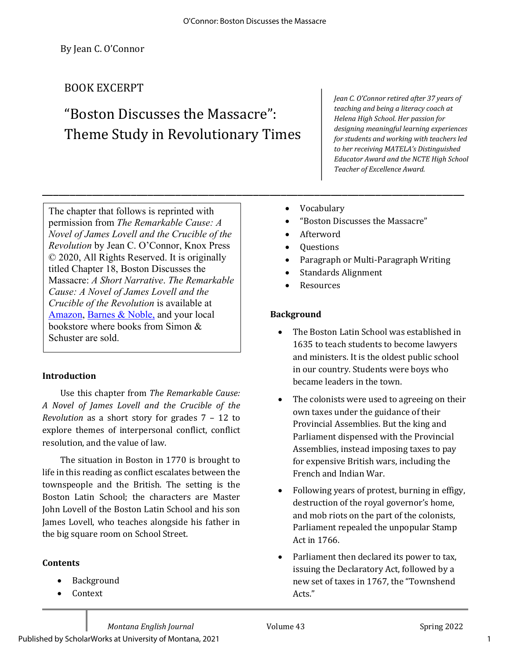\_\_\_\_\_\_\_\_\_\_\_\_\_\_\_\_\_\_\_\_\_\_\_\_\_\_\_\_\_\_\_\_\_\_\_\_\_\_\_\_\_\_\_\_\_\_\_\_\_\_\_\_\_\_\_\_\_\_\_\_\_\_\_\_\_\_\_\_\_\_\_\_\_\_\_\_

# BOOK EXCERPT

# "Boston Discusses the Massacre": Theme Study in Revolutionary Times

*Jean C. O'Connor retired after 37 years of teaching and being a literacy coach at Helena High School. Her passion for*  designing meaningful learning experiences *for students and working with teachers led* to her receiving MATELA's Distinguished **Educator Award and the NCTE High School** *Teacher of Excellence Award.*

The chapter that follows is reprinted with permission from *The Remarkable Cause: A Novel of James Lovell and the Crucible of the Revolution* by Jean C. O'Connor, Knox Press © 2020, All Rights Reserved. It is originally titled Chapter 18, Boston Discusses the Massacre: *A Short Narrative*. *The Remarkable Cause: A Novel of James Lovell and the Crucible of the Revolution* is available at Amazon, Barnes & Noble, and your local bookstore where books from Simon & Schuster are sold.

# **Introduction**

Use this chapter from *The Remarkable Cause: A Novel of James Lovell and the Crucible of the Revolution* as a short story for grades  $7 - 12$  to explore themes of interpersonal conflict, conflict resolution, and the value of law.

The situation in Boston in 1770 is brought to life in this reading as conflict escalates between the townspeople and the British. The setting is the Boston Latin School: the characters are Master John Lovell of the Boston Latin School and his son James Lovell, who teaches alongside his father in the big square room on School Street.

#### **Contents**

- **Background**
- Context
- Vocabulary
- "Boston Discusses the Massacre"
- Afterword
- Questions
- Paragraph or Multi-Paragraph Writing
- Standards Alignment
- **Resources**

#### **Background**

- The Boston Latin School was established in 1635 to teach students to become lawyers and ministers. It is the oldest public school in our country. Students were boys who became leaders in the town.
- The colonists were used to agreeing on their own taxes under the guidance of their Provincial Assemblies. But the king and Parliament dispensed with the Provincial Assemblies, instead imposing taxes to pay for expensive British wars, including the French and Indian War.
- Following years of protest, burning in effigy, destruction of the royal governor's home, and mob riots on the part of the colonists, Parliament repealed the unpopular Stamp Act in 1766.
- Parliament then declared its power to tax, issuing the Declaratory Act, followed by a new set of taxes in 1767, the "Townshend Acts."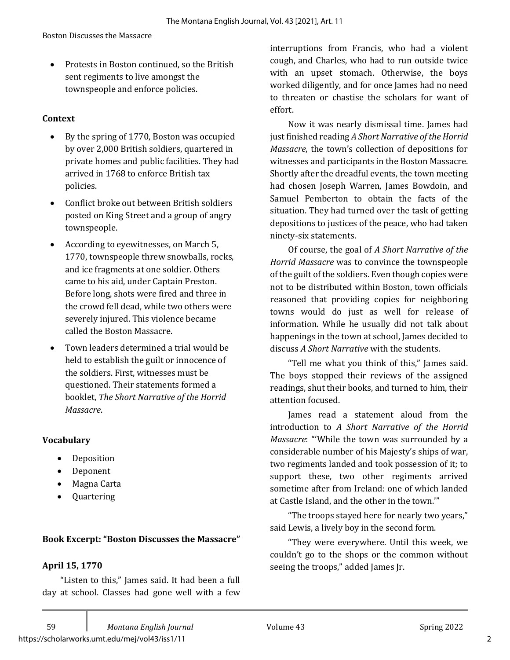Boston Discusses the Massacre

• Protests in Boston continued, so the British sent regiments to live amongst the townspeople and enforce policies.

#### **Context**

- By the spring of 1770, Boston was occupied by over 2,000 British soldiers, quartered in private homes and public facilities. They had arrived in 1768 to enforce British tax policies.
- Conflict broke out between British soldiers posted on King Street and a group of angry townspeople.
- According to eyewitnesses, on March  $5$ , 1770, townspeople threw snowballs, rocks, and ice fragments at one soldier. Others came to his aid, under Captain Preston. Before long, shots were fired and three in the crowd fell dead, while two others were severely injured. This violence became called the Boston Massacre.
- Town leaders determined a trial would be held to establish the guilt or innocence of the soldiers. First, witnesses must be questioned. Their statements formed a booklet, *The Short Narrative of the Horrid Massacre*.

#### **Vocabulary**

- Deposition
- Deponent
- Magna Carta
- Quartering

#### **Book Excerpt: "Boston Discusses the Massacre"**

#### **April 15, 1770**

"Listen to this," James said. It had been a full day at school. Classes had gone well with a few

interruptions from Francis, who had a violent cough, and Charles, who had to run outside twice with an upset stomach. Otherwise, the boys worked diligently, and for once James had no need to threaten or chastise the scholars for want of effort.

Now it was nearly dismissal time. James had just finished reading A Short Narrative of the Horrid *Massacre*, the town's collection of depositions for witnesses and participants in the Boston Massacre. Shortly after the dreadful events, the town meeting had chosen Joseph Warren, James Bowdoin, and Samuel Pemberton to obtain the facts of the situation. They had turned over the task of getting depositions to justices of the peace, who had taken ninety-six statements. 

Of course, the goal of A Short Narrative of the *Horrid Massacre* was to convince the townspeople of the guilt of the soldiers. Even though copies were not to be distributed within Boston, town officials reasoned that providing copies for neighboring towns would do just as well for release of information. While he usually did not talk about happenings in the town at school, James decided to discuss *A Short Narrative* with the students.

"Tell me what you think of this," James said. The boys stopped their reviews of the assigned readings, shut their books, and turned to him, their attention focused.

James read a statement aloud from the introduction to *A Short Narrative of the Horrid Massacre*: "While the town was surrounded by a considerable number of his Majesty's ships of war, two regiments landed and took possession of it; to support these, two other regiments arrived sometime after from Ireland: one of which landed at Castle Island, and the other in the town."

"The troops stayed here for nearly two years," said Lewis, a lively boy in the second form.

"They were everywhere. Until this week, we couldn't go to the shops or the common without seeing the troops," added James Jr.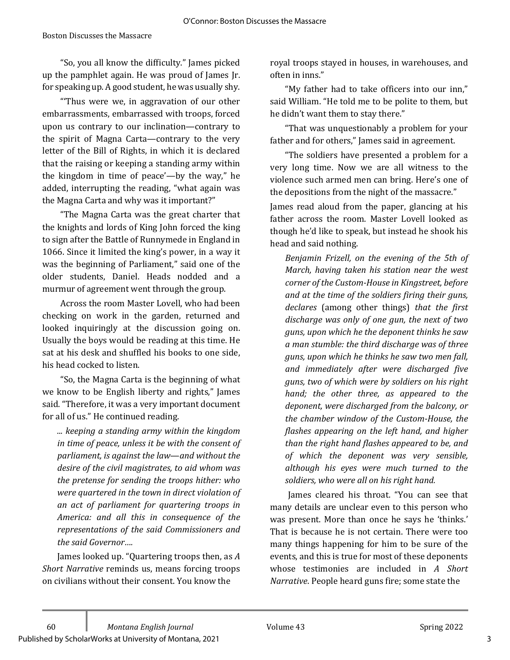"So, you all know the difficulty." James picked up the pamphlet again. He was proud of James Jr. for speaking up. A good student, he was usually shy.

"Thus were we, in aggravation of our other embarrassments, embarrassed with troops, forced upon us contrary to our inclination—contrary to the spirit of Magna Carta—contrary to the very letter of the Bill of Rights, in which it is declared that the raising or keeping a standing army within the kingdom in time of peace'—by the way," he added, interrupting the reading, "what again was the Magna Carta and why was it important?"

"The Magna Carta was the great charter that the knights and lords of King John forced the king to sign after the Battle of Runnymede in England in 1066. Since it limited the king's power, in a way it was the beginning of Parliament," said one of the older students, Daniel. Heads nodded and a murmur of agreement went through the group.

Across the room Master Lovell, who had been checking on work in the garden, returned and looked inquiringly at the discussion going on. Usually the boys would be reading at this time. He sat at his desk and shuffled his books to one side. his head cocked to listen.

"So, the Magna Carta is the beginning of what we know to be English liberty and rights," James said. "Therefore, it was a very important document for all of us." He continued reading.

*... keeping a standing army within the kingdom in time of peace, unless it be with the consent of parliament, is against the law—and without the* desire of the civil magistrates, to aid whom was the pretense for sending the troops hither: who were quartered in the town in direct violation of *an act of parliament for quartering troops in America: and all this in consequence of the representations of the said Commissioners and the said Governor….*

James looked up. "Quartering troops then, as *A Short Narrative* reminds us, means forcing troops on civilians without their consent. You know the

royal troops stayed in houses, in warehouses, and often in inns."

"My father had to take officers into our inn," said William. "He told me to be polite to them, but he didn't want them to stay there."

"That was unquestionably a problem for your father and for others," James said in agreement.

"The soldiers have presented a problem for a very long time. Now we are all witness to the violence such armed men can bring. Here's one of the depositions from the night of the massacre."

James read aloud from the paper, glancing at his father across the room. Master Lovell looked as though he'd like to speak, but instead he shook his head and said nothing.

*Benjamin Frizell, on the evening of the 5th of March, having taken his station near the west* corner of the Custom-House in Kingstreet, before and at the time of the soldiers firing their guns, declares (among other things) *that the first* discharge was only of one gun, the next of two guns, upon which he the deponent thinks he saw *a man stumble: the third discharge was of three*  guns, upon which he thinks he saw two men fall, *and immediately after were discharged five guns, two of which were by soldiers on his right* hand; the other three, as appeared to the deponent, were discharged from the balcony, or the chamber window of the Custom-House, the *flashes appearing on the left hand, and higher than the right hand flashes appeared to be, and of which the deponent was very sensible, although his eyes were much turned to the*  soldiers, who were all on his right hand.

James cleared his throat. "You can see that many details are unclear even to this person who was present. More than once he says he 'thinks.' That is because he is not certain. There were too many things happening for him to be sure of the events, and this is true for most of these deponents whose testimonies are included in *A* Short *Narrative*. People heard guns fire; some state the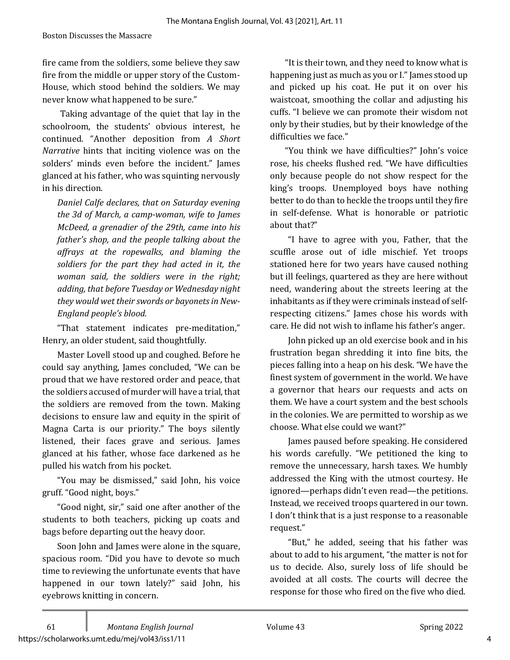fire came from the soldiers, some believe they saw fire from the middle or upper story of the Custom-House, which stood behind the soldiers. We may never know what happened to be sure."

Taking advantage of the quiet that lay in the schoolroom, the students' obvious interest, he continued. "Another deposition from *A Short Narrative* hints that inciting violence was on the solders' minds even before the incident." James glanced at his father, who was squinting nervously in his direction.

Daniel Calfe declares, that on Saturday evening *the 3d of March, a camp-woman, wife to James McDeed, a grenadier of the 29th, came into his father's shop, and the people talking about the* affrays at the ropewalks, and blaming the soldiers for the part they had acted in it, the woman said, the soldiers were in the right; adding, that before Tuesday or Wednesday night they would wet their swords or bayonets in New-*England people's blood.*

"That statement indicates pre-meditation," Henry, an older student, said thoughtfully.

Master Lovell stood up and coughed. Before he could say anything, James concluded, "We can be proud that we have restored order and peace, that the soldiers accused of murder will have a trial, that the soldiers are removed from the town. Making decisions to ensure law and equity in the spirit of Magna Carta is our priority." The boys silently listened, their faces grave and serious. James glanced at his father, whose face darkened as he pulled his watch from his pocket.

"You may be dismissed," said John, his voice gruff. "Good night, boys."

"Good night, sir," said one after another of the students to both teachers, picking up coats and bags before departing out the heavy door.

Soon John and James were alone in the square, spacious room. "Did you have to devote so much time to reviewing the unfortunate events that have happened in our town lately?" said John, his eyebrows knitting in concern.

"It is their town, and they need to know what is happening just as much as you or I." James stood up and picked up his coat. He put it on over his waistcoat, smoothing the collar and adjusting his cuffs. "I believe we can promote their wisdom not only by their studies, but by their knowledge of the difficulties we face."

"You think we have difficulties?" John's voice rose, his cheeks flushed red. "We have difficulties only because people do not show respect for the king's troops. Unemployed boys have nothing better to do than to heckle the troops until they fire in self-defense. What is honorable or patriotic about that?"

"I have to agree with you, Father, that the scuffle arose out of idle mischief. Yet troops stationed here for two years have caused nothing but ill feelings, quartered as they are here without need, wandering about the streets leering at the inhabitants as if they were criminals instead of selfrespecting citizens." James chose his words with care. He did not wish to inflame his father's anger.

John picked up an old exercise book and in his frustration began shredding it into fine bits, the pieces falling into a heap on his desk. "We have the finest system of government in the world. We have a governor that hears our requests and acts on them. We have a court system and the best schools in the colonies. We are permitted to worship as we choose. What else could we want?"

James paused before speaking. He considered his words carefully. "We petitioned the king to remove the unnecessary, harsh taxes. We humbly addressed the King with the utmost courtesy. He ignored—perhaps didn't even read—the petitions. Instead, we received troops quartered in our town. I don't think that is a just response to a reasonable request."

"But," he added, seeing that his father was about to add to his argument, "the matter is not for us to decide. Also, surely loss of life should be avoided at all costs. The courts will decree the response for those who fired on the five who died.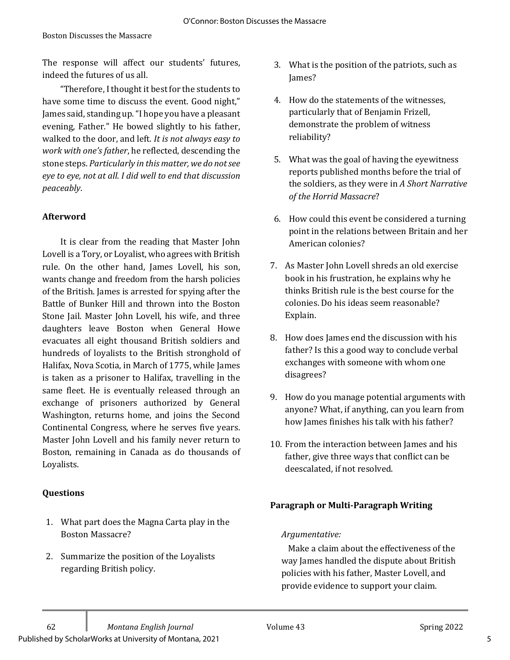The response will affect our students' futures, indeed the futures of us all.

"Therefore, I thought it best for the students to have some time to discuss the event. Good night," James said, standing up. "I hope you have a pleasant evening, Father." He bowed slightly to his father, walked to the door, and left. *It is not always easy to* work with one's father, he reflected, descending the stone steps. Particularly in this matter, we do not see eye to eye, not at all. I did well to end that discussion *peaceably*.

#### **Afterword**

It is clear from the reading that Master John Lovell is a Tory, or Loyalist, who agrees with British rule. On the other hand, James Lovell, his son, wants change and freedom from the harsh policies of the British. James is arrested for spying after the Battle of Bunker Hill and thrown into the Boston Stone Jail. Master John Lovell, his wife, and three daughters leave Boston when General Howe evacuates all eight thousand British soldiers and hundreds of loyalists to the British stronghold of Halifax, Nova Scotia, in March of 1775, while James is taken as a prisoner to Halifax, travelling in the same fleet. He is eventually released through an exchange of prisoners authorized by General Washington, returns home, and joins the Second Continental Congress, where he serves five years. Master John Lovell and his family never return to Boston, remaining in Canada as do thousands of Loyalists.

#### **Questions**

- 1. What part does the Magna Carta play in the Boston Massacre?
- 2. Summarize the position of the Loyalists regarding British policy.
- 3. What is the position of the patriots, such as James?
- 4. How do the statements of the witnesses, particularly that of Benjamin Frizell, demonstrate the problem of witness reliability?
- 5. What was the goal of having the eyewitness reports published months before the trial of the soldiers, as they were in *A Short Narrative of the Horrid Massacre*?
- 6. How could this event be considered a turning point in the relations between Britain and her American colonies?
- 7. As Master John Lovell shreds an old exercise book in his frustration, he explains why he thinks British rule is the best course for the colonies. Do his ideas seem reasonable? Explain.
- 8. How does James end the discussion with his father? Is this a good way to conclude verbal exchanges with someone with whom one disagrees?
- 9. How do you manage potential arguments with anyone? What, if anything, can you learn from how James finishes his talk with his father?
- 10. From the interaction between James and his father, give three ways that conflict can be deescalated, if not resolved.

#### **Paragraph or Multi-Paragraph Writing**

#### *Argumentative:*

Make a claim about the effectiveness of the way James handled the dispute about British policies with his father, Master Lovell, and provide evidence to support your claim.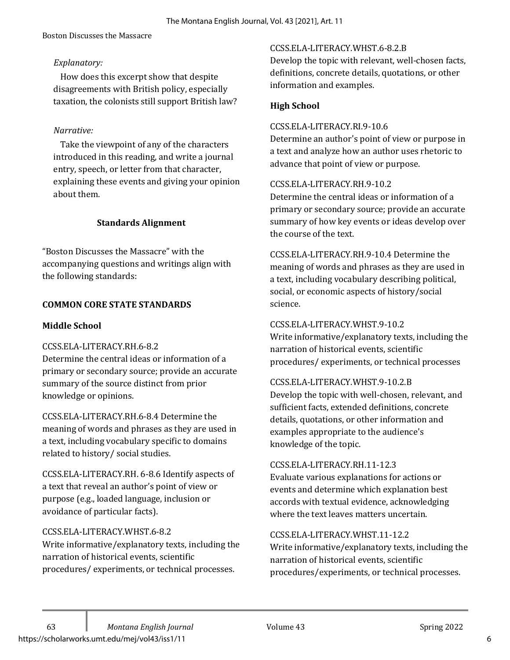#### Boston Discusses the Massacre

# *Explanatory:*

How does this excerpt show that despite disagreements with British policy, especially taxation, the colonists still support British law?

# *Narrative:*

Take the viewpoint of any of the characters introduced in this reading, and write a journal entry, speech, or letter from that character, explaining these events and giving your opinion about them.

# **Standards Alignment**

"Boston Discusses the Massacre" with the accompanying questions and writings align with the following standards:

# **COMMON CORE STATE STANDARDS**

# **Middle School**

#### CCSS.ELA-LITERACY.RH.6-8.2

Determine the central ideas or information of a primary or secondary source; provide an accurate summary of the source distinct from prior knowledge or opinions.

CCSS.ELA-LITERACY.RH.6-8.4 Determine the meaning of words and phrases as they are used in a text, including vocabulary specific to domains related to history/ social studies.

CCSS.ELA-LITERACY.RH. 6-8.6 Identify aspects of a text that reveal an author's point of view or purpose (e.g., loaded language, inclusion or avoidance of particular facts).

# CCSS.ELA-LITERACY.WHST.6-8.2

Write informative/explanatory texts, including the narration of historical events, scientific procedures/ experiments, or technical processes.

#### CCSS.ELA-LITERACY.WHST.6-8.2.B

Develop the topic with relevant, well-chosen facts, definitions, concrete details, quotations, or other information and examples.

#### **High School**

#### CCSS.ELA-LITERACY.RI.9-10.6

Determine an author's point of view or purpose in a text and analyze how an author uses rhetoric to advance that point of view or purpose.

#### CCSS.ELA-LITERACY.RH.9-10.2

Determine the central ideas or information of a primary or secondary source; provide an accurate summary of how key events or ideas develop over the course of the text.

CCSS.ELA-LITERACY.RH.9-10.4 Determine the meaning of words and phrases as they are used in a text, including vocabulary describing political, social, or economic aspects of history/social science. 

#### CCSS.ELA-LITERACY.WHST.9-10.2

Write informative/explanatory texts, including the narration of historical events, scientific procedures/ experiments, or technical processes

# CCSS.ELA-LITERACY.WHST.9-10.2.B

Develop the topic with well-chosen, relevant, and sufficient facts, extended definitions, concrete details, quotations, or other information and examples appropriate to the audience's knowledge of the topic.

#### CCSS.ELA-LITERACY.RH.11-12.3

Evaluate various explanations for actions or events and determine which explanation best accords with textual evidence, acknowledging where the text leaves matters uncertain.

#### CCSS.ELA-LITERACY.WHST.11-12.2

Write informative/explanatory texts, including the narration of historical events, scientific procedures/experiments, or technical processes.